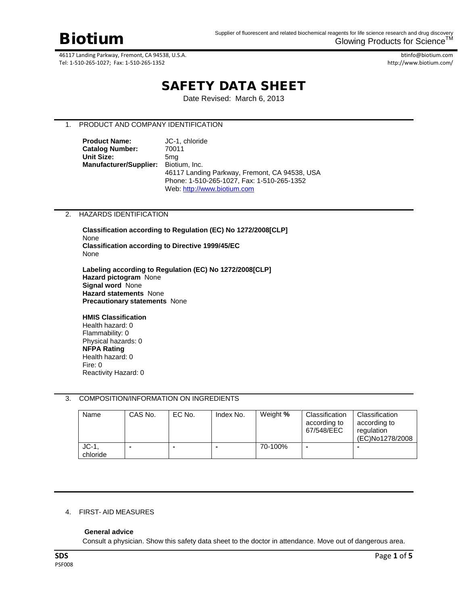

btinfo@biotium.com http://www.biotium.com/

# SAFETY DATA SHEET

Date Revised: March 6, 2013

# 1. PRODUCT AND COMPANY IDENTIFICATION

**Product Name:** JC-1, chloride<br> **Catalog Number:** 70011 **Catalog Number: Unit Size:** 5mg **Manufacturer/Supplier:** Biotium, Inc. 46117 Landing Parkway, Fremont, CA 94538, USA Phone: 1-510-265-1027, Fax: 1-510-265-1352 Web[: http://www.biotium.com](http://www.biotium.com/)

### 2. HAZARDS IDENTIFICATION

**Classification according to Regulation (EC) No 1272/2008[CLP]** None **Classification according to Directive 1999/45/EC**  None

**Labeling according to Regulation (EC) No 1272/2008[CLP] Hazard pictogram** None **Signal word** None **Hazard statements** None **Precautionary statements** None

#### **HMIS Classification**

Health hazard: 0 Flammability: 0 Physical hazards: 0 **NFPA Rating** Health hazard: 0 Fire: 0 Reactivity Hazard: 0

### 3. COMPOSITION/INFORMATION ON INGREDIENTS

| Name               | CAS No. | EC No.                   | Index No. | Weight % | Classification<br>according to<br>67/548/EEC | Classification<br>according to<br>regulation<br>(EC)No1278/2008 |
|--------------------|---------|--------------------------|-----------|----------|----------------------------------------------|-----------------------------------------------------------------|
| $JC-1$<br>chloride | -       | $\overline{\phantom{a}}$ |           | 70-100%  | $\blacksquare$                               |                                                                 |

# 4. FIRST- AID MEASURES

### **General advice**

Consult a physician. Show this safety data sheet to the doctor in attendance. Move out of dangerous area.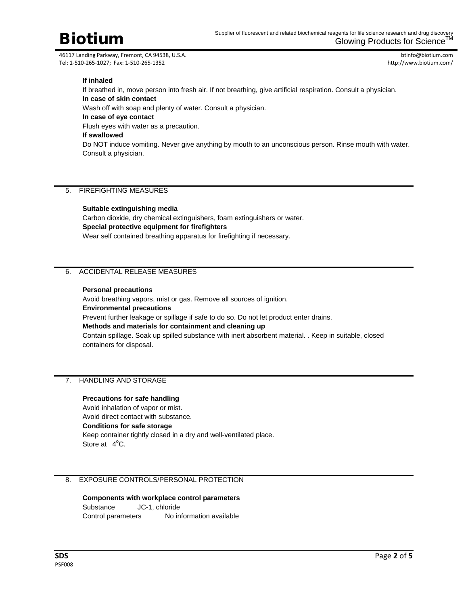

btinfo@biotium.com http://www.biotium.com/

# **If inhaled**

If breathed in, move person into fresh air. If not breathing, give artificial respiration. Consult a physician. **In case of skin contact** Wash off with soap and plenty of water. Consult a physician. **In case of eye contact** Flush eyes with water as a precaution. **If swallowed** Do NOT induce vomiting. Never give anything by mouth to an unconscious person. Rinse mouth with water. Consult a physician.

# 5. FIREFIGHTING MEASURES

### **Suitable extinguishing media**

Carbon dioxide, dry chemical extinguishers, foam extinguishers or water. **Special protective equipment for firefighters** Wear self contained breathing apparatus for firefighting if necessary.

# 6. ACCIDENTAL RELEASE MEASURES

### **Personal precautions**

Avoid breathing vapors, mist or gas. Remove all sources of ignition. **Environmental precautions** Prevent further leakage or spillage if safe to do so. Do not let product enter drains. **Methods and materials for containment and cleaning up** Contain spillage. Soak up spilled substance with inert absorbent material. . Keep in suitable, closed containers for disposal.

# 7. HANDLING AND STORAGE

### **Precautions for safe handling**

Avoid inhalation of vapor or mist. Avoid direct contact with substance. **Conditions for safe storage** Keep container tightly closed in a dry and well-ventilated place. Store at  $4^{\circ}$ C.

# 8. EXPOSURE CONTROLS/PERSONAL PROTECTION

**Components with workplace control parameters** Substance JC-1, chloride Control parameters No information available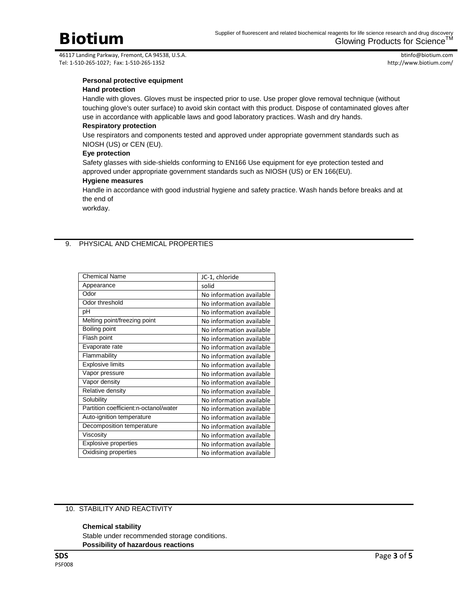btinfo@biotium.com http://www.biotium.com/

# **Personal protective equipment**

# **Hand protection**

Handle with gloves. Gloves must be inspected prior to use. Use proper glove removal technique (without touching glove's outer surface) to avoid skin contact with this product. Dispose of contaminated gloves after use in accordance with applicable laws and good laboratory practices. Wash and dry hands.

# **Respiratory protection**

Use respirators and components tested and approved under appropriate government standards such as NIOSH (US) or CEN (EU).

### **Eye protection**

Safety glasses with side-shields conforming to EN166 Use equipment for eye protection tested and approved under appropriate government standards such as NIOSH (US) or EN 166(EU).

### **Hygiene measures**

Handle in accordance with good industrial hygiene and safety practice. Wash hands before breaks and at the end of

workday.

# 9. PHYSICAL AND CHEMICAL PROPERTIES

| <b>Chemical Name</b>                  | JC-1, chloride           |
|---------------------------------------|--------------------------|
| Appearance                            | solid                    |
| Odor                                  | No information available |
| Odor threshold                        | No information available |
| рH                                    | No information available |
| Melting point/freezing point          | No information available |
| Boiling point                         | No information available |
| Flash point                           | No information available |
| Evaporate rate                        | No information available |
| Flammability                          | No information available |
| <b>Explosive limits</b>               | No information available |
| Vapor pressure                        | No information available |
| Vapor density                         | No information available |
| Relative density                      | No information available |
| Solubility                            | No information available |
| Partition coefficient:n-octanol/water | No information available |
| Auto-ignition temperature             | No information available |
| Decomposition temperature             | No information available |
| Viscosity                             | No information available |
| Explosive properties                  | No information available |
| Oxidising properties                  | No information available |

# 10. STABILITY AND REACTIVITY

### **Chemical stability**

Stable under recommended storage conditions. **Possibility of hazardous reactions**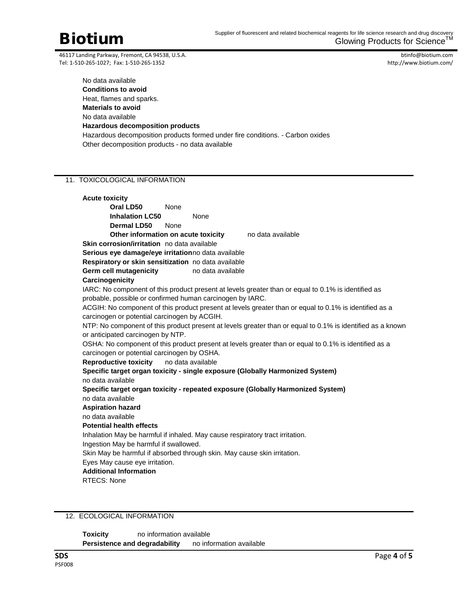btinfo@biotium.com http://www.biotium.com/

No data available **Conditions to avoid** Heat, flames and sparks. **Materials to avoid** No data available **Hazardous decomposition products** Hazardous decomposition products formed under fire conditions. - Carbon oxides Other decomposition products - no data available

# 11. TOXICOLOGICAL INFORMATION

| <b>Acute toxicity</b>                                                                                                                                            |                                                     |                   |  |  |  |  |  |
|------------------------------------------------------------------------------------------------------------------------------------------------------------------|-----------------------------------------------------|-------------------|--|--|--|--|--|
| Oral LD50                                                                                                                                                        | None                                                |                   |  |  |  |  |  |
| <b>Inhalation LC50</b>                                                                                                                                           | None                                                |                   |  |  |  |  |  |
| <b>Dermal LD50</b>                                                                                                                                               | None                                                |                   |  |  |  |  |  |
|                                                                                                                                                                  | Other information on acute toxicity                 | no data available |  |  |  |  |  |
| Skin corrosion/irritation no data available                                                                                                                      |                                                     |                   |  |  |  |  |  |
| Serious eye damage/eye irritationno data available                                                                                                               |                                                     |                   |  |  |  |  |  |
|                                                                                                                                                                  | Respiratory or skin sensitization no data available |                   |  |  |  |  |  |
| <b>Germ cell mutagenicity</b>                                                                                                                                    | no data available                                   |                   |  |  |  |  |  |
| Carcinogenicity                                                                                                                                                  |                                                     |                   |  |  |  |  |  |
| IARC: No component of this product present at levels greater than or equal to 0.1% is identified as<br>probable, possible or confirmed human carcinogen by IARC. |                                                     |                   |  |  |  |  |  |
| ACGIH: No component of this product present at levels greater than or equal to 0.1% is identified as a                                                           |                                                     |                   |  |  |  |  |  |
| carcinogen or potential carcinogen by ACGIH.                                                                                                                     |                                                     |                   |  |  |  |  |  |
| NTP: No component of this product present at levels greater than or equal to 0.1% is identified as a known                                                       |                                                     |                   |  |  |  |  |  |
| or anticipated carcinogen by NTP.                                                                                                                                |                                                     |                   |  |  |  |  |  |
| OSHA: No component of this product present at levels greater than or equal to 0.1% is identified as a                                                            |                                                     |                   |  |  |  |  |  |
| carcinogen or potential carcinogen by OSHA.                                                                                                                      |                                                     |                   |  |  |  |  |  |
| <b>Reproductive toxicity</b><br>no data available                                                                                                                |                                                     |                   |  |  |  |  |  |
| Specific target organ toxicity - single exposure (Globally Harmonized System)                                                                                    |                                                     |                   |  |  |  |  |  |
| no data available                                                                                                                                                |                                                     |                   |  |  |  |  |  |
| Specific target organ toxicity - repeated exposure (Globally Harmonized System)                                                                                  |                                                     |                   |  |  |  |  |  |
| no data available                                                                                                                                                |                                                     |                   |  |  |  |  |  |
| <b>Aspiration hazard</b>                                                                                                                                         |                                                     |                   |  |  |  |  |  |
| no data available                                                                                                                                                |                                                     |                   |  |  |  |  |  |
| <b>Potential health effects</b>                                                                                                                                  |                                                     |                   |  |  |  |  |  |
| Inhalation May be harmful if inhaled. May cause respiratory tract irritation.                                                                                    |                                                     |                   |  |  |  |  |  |
| Ingestion May be harmful if swallowed.                                                                                                                           |                                                     |                   |  |  |  |  |  |
| Skin May be harmful if absorbed through skin. May cause skin irritation.                                                                                         |                                                     |                   |  |  |  |  |  |
| Eyes May cause eye irritation.                                                                                                                                   |                                                     |                   |  |  |  |  |  |
| <b>Additional Information</b>                                                                                                                                    |                                                     |                   |  |  |  |  |  |
| <b>RTECS: None</b>                                                                                                                                               |                                                     |                   |  |  |  |  |  |

12. ECOLOGICAL INFORMATION

**Toxicity** no information available **Persistence and degradability** no information available